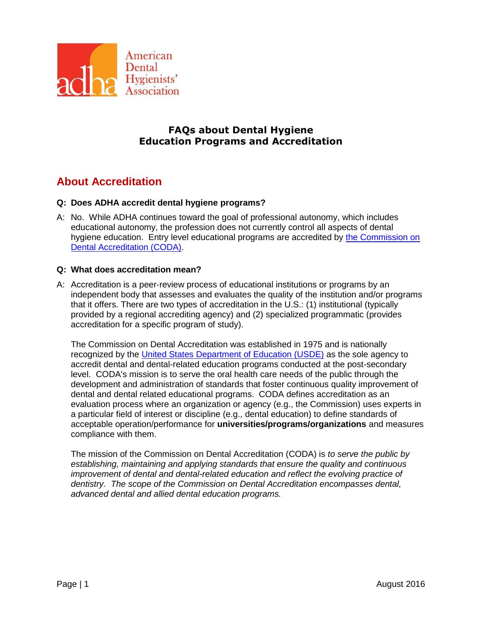

# **FAQs about Dental Hygiene Education Programs and Accreditation**

# **About Accreditation**

# **Q: Does ADHA accredit dental hygiene programs?**

A: No. While ADHA continues toward the goal of professional autonomy, which includes educational autonomy, the profession does not currently control all aspects of dental hygiene education. Entry level educational programs are accredited by [the Commission on](http://www.ada.org/en/coda)  [Dental Accreditation \(CODA\).](http://www.ada.org/en/coda)

#### **Q: What does accreditation mean?**

A: Accreditation is a peer‐review process of educational institutions or programs by an independent body that assesses and evaluates the quality of the institution and/or programs that it offers. There are two types of accreditation in the U.S.: (1) institutional (typically provided by a regional accrediting agency) and (2) specialized programmatic (provides accreditation for a specific program of study).

The Commission on Dental Accreditation was established in 1975 and is nationally recognized by the [United States Department of Education \(USDE\)](http://www.ed.gov/) as the sole agency to accredit dental and dental-related education programs conducted at the post-secondary level. CODA's mission is to serve the oral health care needs of the public through the development and administration of standards that foster continuous quality improvement of dental and dental related educational programs. CODA defines accreditation as an evaluation process where an organization or agency (e.g., the Commission) uses experts in a particular field of interest or discipline (e.g., dental education) to define standards of acceptable operation/performance for **universities/programs/organizations** and measures compliance with them.

The mission of the Commission on Dental Accreditation (CODA) is *to serve the public by establishing, maintaining and applying standards that ensure the quality and continuous improvement of dental and dental-related education and reflect the evolving practice of dentistry. The scope of the Commission on Dental Accreditation encompasses dental, advanced dental and allied dental education programs.*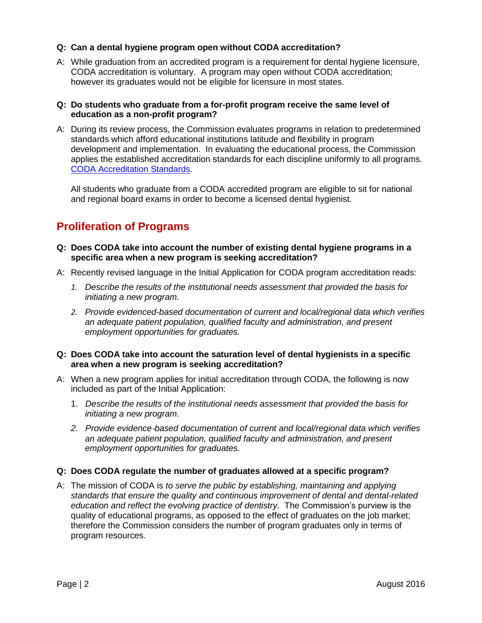# **Q: Can a dental hygiene program open without CODA accreditation?**

A: While graduation from an accredited program is a requirement for dental hygiene licensure, CODA accreditation is voluntary. A program may open without CODA accreditation; however its graduates would not be eligible for licensure in most states.

#### **Q: Do students who graduate from a for-profit program receive the same level of education as a non-profit program?**

A: During its review process, the Commission evaluates programs in relation to predetermined standards which afford educational institutions latitude and flexibility in program development and implementation. In evaluating the educational process, the Commission applies the established accreditation standards for each discipline uniformly to all programs. [CODA Accreditation Standards.](http://www.ada.org/en/coda/current-accreditation-standards/)

All students who graduate from a CODA accredited program are eligible to sit for national and regional board exams in order to become a licensed dental hygienist.

# **Proliferation of Programs**

- **Q: Does CODA take into account the number of existing dental hygiene programs in a specific area when a new program is seeking accreditation?**
- A: Recently revised language in the Initial Application for CODA program accreditation reads:
	- *1. Describe the results of the institutional needs assessment that provided the basis for initiating a new program.*
	- *2. Provide evidenced-based documentation of current and local/regional data which verifies an adequate patient population, qualified faculty and administration, and present employment opportunities for graduates.*

#### **Q: Does CODA take into account the saturation level of dental hygienists in a specific area when a new program is seeking accreditation?**

- A: When a new program applies for initial accreditation through CODA, the following is now included as part of the Initial Application:
	- 1. *Describe the results of the institutional needs assessment that provided the basis for initiating a new program.*
	- *2. Provide evidence*‐*based documentation of current and local/regional data which verifies an adequate patient population, qualified faculty and administration, and present employment opportunities for graduates.*

# **Q: Does CODA regulate the number of graduates allowed at a specific program?**

A: The mission of CODA is *to serve the public by establishing, maintaining and applying standards that ensure the quality and continuous improvement of dental and dental-related education and reflect the evolving practice of dentistry.* The Commission's purview is the quality of educational programs, as opposed to the effect of graduates on the job market; therefore the Commission considers the number of program graduates only in terms of program resources.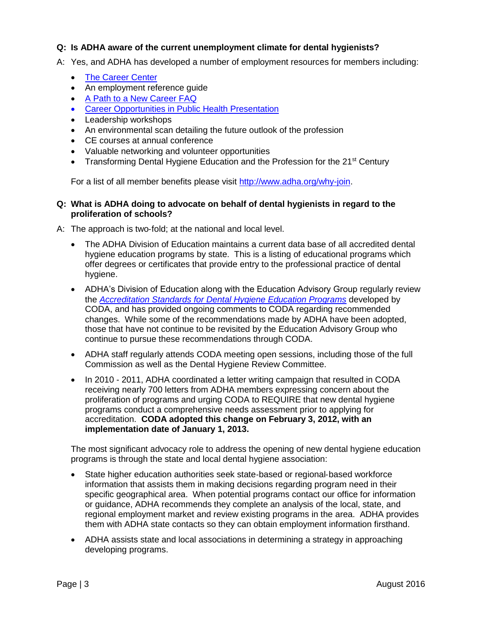# **Q: Is ADHA aware of the current unemployment climate for dental hygienists?**

- A: Yes, and ADHA has developed a number of employment resources for members including:
	- [The Career Center](http://www.adha.org/career-center)
	- An employment reference quide
	- [A Path to a New Career FAQ](http://www.adha.org/resources-docs/72615_The_Path_to_a_New_Career.pdf)
	- [Career Opportunities in Public Health Presentation](http://www.adha.org/public-health)
	- Leadership workshops
	- An environmental scan detailing the future outlook of the profession
	- CE courses at annual conference
	- Valuable networking and volunteer opportunities
	- Transforming Dental Hygiene Education and the Profession for the 21<sup>st</sup> Century

For a list of all member benefits please visit [http://www.adha.org/why-join.](http://www.adha.org/why-join)

#### **Q: What is ADHA doing to advocate on behalf of dental hygienists in regard to the proliferation of schools?**

A: The approach is two-fold; at the national and local level.

- The ADHA Division of Education maintains a current data base of all accredited dental hygiene education programs by state. This is a listing of educational programs which offer degrees or certificates that provide entry to the professional practice of dental hygiene.
- ADHA's Division of Education along with the Education Advisory Group regularly review the *[Accreditation Standards for Dental Hygiene Education Programs](http://www.ada.org/~/media/CODA/Files/DH_Standards.pdf?la=en)* developed by CODA, and has provided ongoing comments to CODA regarding recommended changes. While some of the recommendations made by ADHA have been adopted, those that have not continue to be revisited by the Education Advisory Group who continue to pursue these recommendations through CODA.
- ADHA staff regularly attends CODA meeting open sessions, including those of the full Commission as well as the Dental Hygiene Review Committee.
- In 2010 2011, ADHA coordinated a letter writing campaign that resulted in CODA receiving nearly 700 letters from ADHA members expressing concern about the proliferation of programs and urging CODA to REQUIRE that new dental hygiene programs conduct a comprehensive needs assessment prior to applying for accreditation. **CODA adopted this change on February 3, 2012, with an implementation date of January 1, 2013.**

The most significant advocacy role to address the opening of new dental hygiene education programs is through the state and local dental hygiene association:

- State higher education authorities seek state‐based or regional‐based workforce information that assists them in making decisions regarding program need in their specific geographical area. When potential programs contact our office for information or guidance, ADHA recommends they complete an analysis of the local, state, and regional employment market and review existing programs in the area. ADHA provides them with ADHA state contacts so they can obtain employment information firsthand.
- ADHA assists state and local associations in determining a strategy in approaching developing programs.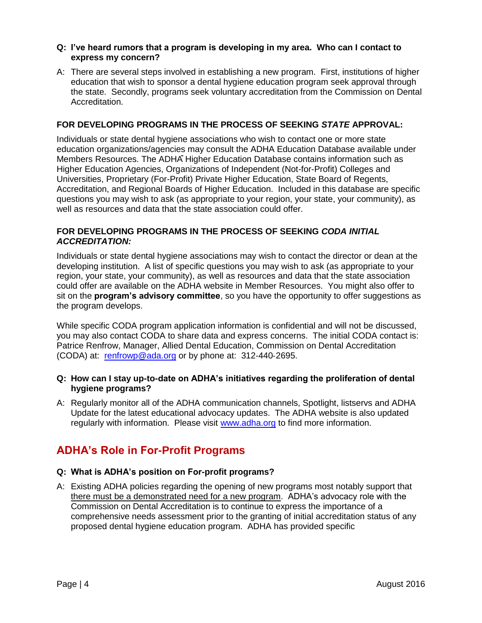#### **Q: I've heard rumors that a program is developing in my area. Who can I contact to express my concern?**

A: There are several steps involved in establishing a new program. First, institutions of higher education that wish to sponsor a dental hygiene education program seek approval through the state. Secondly, programs seek voluntary accreditation from the Commission on Dental Accreditation.

#### **FOR DEVELOPING PROGRAMS IN THE PROCESS OF SEEKING** *STATE* **APPROVAL:**

Individuals or state dental hygiene associations who wish to contact one or more state education organizations/agencies may consult the ADHA Education Database available under Members Resources. The ADHA Higher Education Database contains information such as Higher Education Agencies, Organizations of Independent (Not-for-Profit) Colleges and Universities, Proprietary (For-Profit) Private Higher Education, State Board of Regents, Accreditation, and Regional Boards of Higher Education. Included in this database are specific questions you may wish to ask (as appropriate to your region, your state, your community), as well as resources and data that the state association could offer.

#### **FOR DEVELOPING PROGRAMS IN THE PROCESS OF SEEKING** *CODA INITIAL ACCREDITATION:*

Individuals or state dental hygiene associations may wish to contact the director or dean at the developing institution. A list of specific questions you may wish to ask (as appropriate to your region, your state, your community), as well as resources and data that the state association could offer are available on the ADHA website in Member Resources. You might also offer to sit on the **program's advisory committee**, so you have the opportunity to offer suggestions as the program develops.

While specific CODA program application information is confidential and will not be discussed. you may also contact CODA to share data and express concerns. The initial CODA contact is: Patrice Renfrow, Manager, Allied Dental Education, Commission on Dental Accreditation (CODA) at: [renfrowp@ada.org](mailto:renfrowp@ada.org) or by phone at: 312‐440‐2695.

#### **Q: How can I stay up-to-date on ADHA's initiatives regarding the proliferation of dental hygiene programs?**

A: Regularly monitor all of the ADHA communication channels, Spotlight, listservs and ADHA Update for the latest educational advocacy updates. The ADHA website is also updated regularly with information. Please visit [www.adha.org](http://www.adha.org/) to find more information.

# **ADHA's Role in For-Profit Programs**

# **Q: What is ADHA's position on For-profit programs?**

A: Existing ADHA policies regarding the opening of new programs most notably support that there must be a demonstrated need for a new program. ADHA's advocacy role with the Commission on Dental Accreditation is to continue to express the importance of a comprehensive needs assessment prior to the granting of initial accreditation status of any proposed dental hygiene education program. ADHA has provided specific